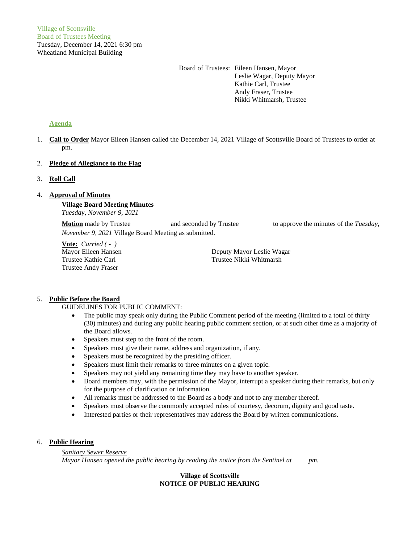Board of Trustees: Eileen Hansen, Mayor Leslie Wagar, Deputy Mayor Kathie Carl, Trustee Andy Fraser, Trustee Nikki Whitmarsh, Trustee

# **Agenda**

1. **Call to Order** Mayor Eileen Hansen called the December 14, 2021 Village of Scottsville Board of Trustees to order at pm.

# 2. **Pledge of Allegiance to the Flag**

# 3. **Roll Call**

# 4. **Approval of Minutes**

**Village Board Meeting Minutes** *Tuesday, November 9, 2021*

**Motion** made by Trustee and seconded by Trustee to approve the minutes of the *Tuesday*, *November 9, 2021* Village Board Meeting as submitted.

**Vote:** *Carried ( - )* Trustee Andy Fraser

Mayor Eileen Hansen Deputy Mayor Leslie Wagar Trustee Kathie Carl Trustee Nikki Whitmarsh

# 5. **Public Before the Board**

## GUIDELINES FOR PUBLIC COMMENT:

- The public may speak only during the Public Comment period of the meeting (limited to a total of thirty (30) minutes) and during any public hearing public comment section, or at such other time as a majority of the Board allows.
- Speakers must step to the front of the room.
- Speakers must give their name, address and organization, if any.
- Speakers must be recognized by the presiding officer.
- Speakers must limit their remarks to three minutes on a given topic.
- Speakers may not yield any remaining time they may have to another speaker.
- Board members may, with the permission of the Mayor, interrupt a speaker during their remarks, but only for the purpose of clarification or information.
- All remarks must be addressed to the Board as a body and not to any member thereof.
- Speakers must observe the commonly accepted rules of courtesy, decorum, dignity and good taste.
- Interested parties or their representatives may address the Board by written communications.

## 6. **Public Hearing**

*Sanitary Sewer Reserve Mayor Hansen opened the public hearing by reading the notice from the Sentinel at pm.*

# **Village of Scottsville NOTICE OF PUBLIC HEARING**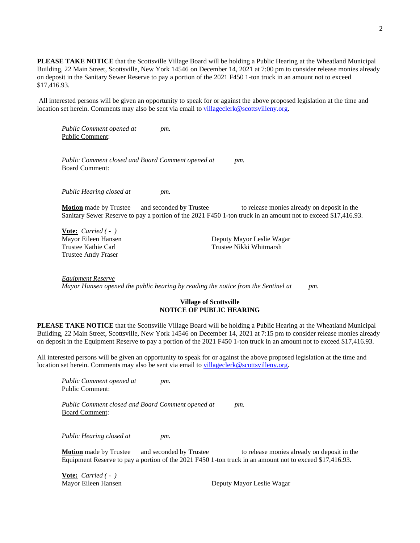**PLEASE TAKE NOTICE** that the Scottsville Village Board will be holding a Public Hearing at the Wheatland Municipal Building, 22 Main Street, Scottsville, New York 14546 on December 14, 2021 at 7:00 pm to consider release monies already on deposit in the Sanitary Sewer Reserve to pay a portion of the 2021 F450 1-ton truck in an amount not to exceed \$17,416.93.

All interested persons will be given an opportunity to speak for or against the above proposed legislation at the time and location set herein. Comments may also be sent via email to [villageclerk@scottsvilleny.org.](mailto:villageclerk@scottsvilleny.org)

*Public Comment opened at pm.* Public Comment:

*Public Comment closed and Board Comment opened at pm.* Board Comment:

*Public Hearing closed at pm.*

**Motion** made by Trustee and seconded by Trustee to release monies already on deposit in the Sanitary Sewer Reserve to pay a portion of the 2021 F450 1-ton truck in an amount not to exceed \$17,416.93.

**Vote:** *Carried ( - )* Trustee Andy Fraser

Mayor Eileen Hansen Deputy Mayor Leslie Wagar Trustee Kathie Carl Trustee Nikki Whitmarsh

*Equipment Reserve Mayor Hansen opened the public hearing by reading the notice from the Sentinel at pm.*

#### **Village of Scottsville NOTICE OF PUBLIC HEARING**

**PLEASE TAKE NOTICE** that the Scottsville Village Board will be holding a Public Hearing at the Wheatland Municipal Building, 22 Main Street, Scottsville, New York 14546 on December 14, 2021 at 7:15 pm to consider release monies already on deposit in the Equipment Reserve to pay a portion of the 2021 F450 1-ton truck in an amount not to exceed \$17,416.93.

All interested persons will be given an opportunity to speak for or against the above proposed legislation at the time and location set herein. Comments may also be sent via email to [villageclerk@scottsvilleny.org.](mailto:villageclerk@scottsvilleny.org)

*Public Comment opened at pm.* Public Comment:

*Public Comment closed and Board Comment opened at pm.* Board Comment:

*Public Hearing closed at pm.*

**Motion** made by Trustee and seconded by Trustee to release monies already on deposit in the Equipment Reserve to pay a portion of the 2021 F450 1-ton truck in an amount not to exceed \$17,416.93.

**Vote:** *Carried ( - )*

Mayor Eileen Hansen **Deputy Mayor Leslie Wagar**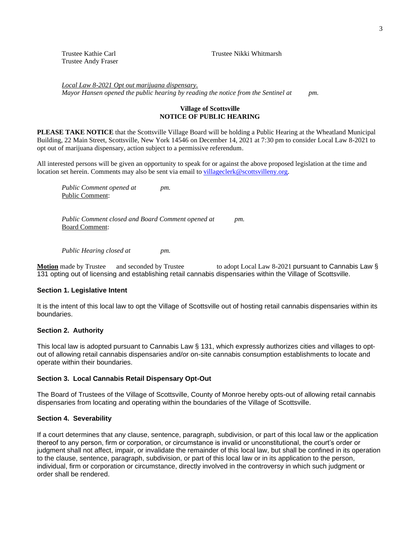Trustee Andy Fraser

Trustee Kathie Carl Trustee Nikki Whitmarsh

*Local Law 8-2021 Opt out marijuana dispensary. Mayor Hansen opened the public hearing by reading the notice from the Sentinel at pm.*

# **Village of Scottsville NOTICE OF PUBLIC HEARING**

**PLEASE TAKE NOTICE** that the Scottsville Village Board will be holding a Public Hearing at the Wheatland Municipal Building, 22 Main Street, Scottsville, New York 14546 on December 14, 2021 at 7:30 pm to consider Local Law 8-2021 to opt out of marijuana dispensary, action subject to a permissive referendum.

All interested persons will be given an opportunity to speak for or against the above proposed legislation at the time and location set herein. Comments may also be sent via email to [villageclerk@scottsvilleny.org.](mailto:villageclerk@scottsvilleny.org)

*Public Comment opened at pm.* Public Comment:

*Public Comment closed and Board Comment opened at pm.* Board Comment:

*Public Hearing closed at pm.*

**Motion** made by Trustee and seconded by Trustee to adopt Local Law 8-2021 pursuant to Cannabis Law § 131 opting out of licensing and establishing retail cannabis dispensaries within the Village of Scottsville.

# **Section 1. Legislative Intent**

It is the intent of this local law to opt the Village of Scottsville out of hosting retail cannabis dispensaries within its boundaries.

### **Section 2. Authority**

This local law is adopted pursuant to Cannabis Law § 131, which expressly authorizes cities and villages to optout of allowing retail cannabis dispensaries and/or on-site cannabis consumption establishments to locate and operate within their boundaries.

# **Section 3. Local Cannabis Retail Dispensary Opt-Out**

The Board of Trustees of the Village of Scottsville, County of Monroe hereby opts-out of allowing retail cannabis dispensaries from locating and operating within the boundaries of the Village of Scottsville.

# **Section 4. Severability**

If a court determines that any clause, sentence, paragraph, subdivision, or part of this local law or the application thereof to any person, firm or corporation, or circumstance is invalid or unconstitutional, the court's order or judgment shall not affect, impair, or invalidate the remainder of this local law, but shall be confined in its operation to the clause, sentence, paragraph, subdivision, or part of this local law or in its application to the person, individual, firm or corporation or circumstance, directly involved in the controversy in which such judgment or order shall be rendered.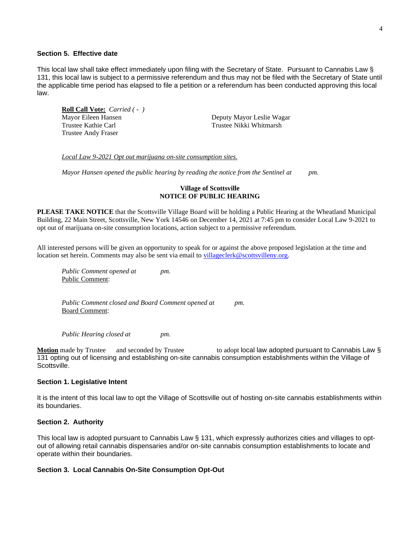# **Section 5. Effective date**

This local law shall take effect immediately upon filing with the Secretary of State. Pursuant to Cannabis Law § 131, this local law is subject to a permissive referendum and thus may not be filed with the Secretary of State until the applicable time period has elapsed to file a petition or a referendum has been conducted approving this local law.

**Roll Call Vote:** *Carried ( - )* Mayor Eileen Hansen **Deputy Mayor Leslie Wagar** Trustee Kathie Carl Trustee Nikki Whitmarsh Trustee Andy Fraser

*Local Law 9-2021 Opt out marijuana on-site consumption sites.*

*Mayor Hansen opened the public hearing by reading the notice from the Sentinel at pm.*

# **Village of Scottsville NOTICE OF PUBLIC HEARING**

**PLEASE TAKE NOTICE** that the Scottsville Village Board will be holding a Public Hearing at the Wheatland Municipal Building, 22 Main Street, Scottsville, New York 14546 on December 14, 2021 at 7:45 pm to consider Local Law 9-2021 to opt out of marijuana on-site consumption locations, action subject to a permissive referendum.

All interested persons will be given an opportunity to speak for or against the above proposed legislation at the time and location set herein. Comments may also be sent via email to [villageclerk@scottsvilleny.org.](mailto:villageclerk@scottsvilleny.org)

*Public Comment opened at pm.* Public Comment:

*Public Comment closed and Board Comment opened at pm.* Board Comment:

*Public Hearing closed at pm.*

**Motion** made by Trustee and seconded by Trustee to adopt local law adopted pursuant to Cannabis Law § 131 opting out of licensing and establishing on-site cannabis consumption establishments within the Village of Scottsville.

## **Section 1. Legislative Intent**

It is the intent of this local law to opt the Village of Scottsville out of hosting on-site cannabis establishments within its boundaries.

# **Section 2. Authority**

This local law is adopted pursuant to Cannabis Law § 131, which expressly authorizes cities and villages to optout of allowing retail cannabis dispensaries and/or on-site cannabis consumption establishments to locate and operate within their boundaries.

#### **Section 3. Local Cannabis On-Site Consumption Opt-Out**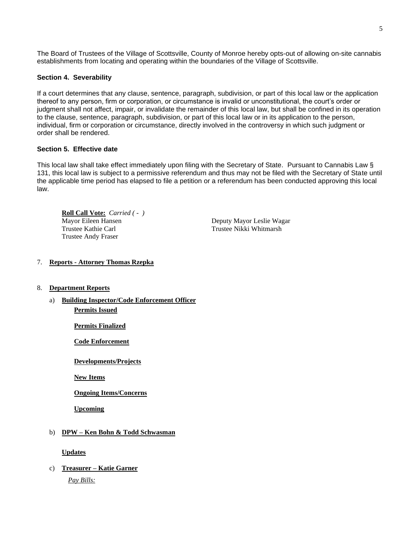The Board of Trustees of the Village of Scottsville, County of Monroe hereby opts-out of allowing on-site cannabis establishments from locating and operating within the boundaries of the Village of Scottsville.

# **Section 4. Severability**

If a court determines that any clause, sentence, paragraph, subdivision, or part of this local law or the application thereof to any person, firm or corporation, or circumstance is invalid or unconstitutional, the court's order or judgment shall not affect, impair, or invalidate the remainder of this local law, but shall be confined in its operation to the clause, sentence, paragraph, subdivision, or part of this local law or in its application to the person, individual, firm or corporation or circumstance, directly involved in the controversy in which such judgment or order shall be rendered.

# **Section 5. Effective date**

This local law shall take effect immediately upon filing with the Secretary of State. Pursuant to Cannabis Law § 131, this local law is subject to a permissive referendum and thus may not be filed with the Secretary of State until the applicable time period has elapsed to file a petition or a referendum has been conducted approving this local law.

**Roll Call Vote:** *Carried ( - )* Mayor Eileen Hansen Deputy Mayor Leslie Wagar Trustee Kathie Carl Trustee Nikki Whitmarsh Trustee Andy Fraser

# 7. **Reports - Attorney Thomas Rzepka**

- 8. **Department Reports**
	- a) **Building Inspector/Code Enforcement Officer Permits Issued**

**Permits Finalized**

**Code Enforcement**

**Developments/Projects**

**New Items**

**Ongoing Items/Concerns**

**Upcoming**

# b) **DPW – Ken Bohn & Todd Schwasman**

**Updates**

c) **Treasurer – Katie Garner**

*Pay Bills:*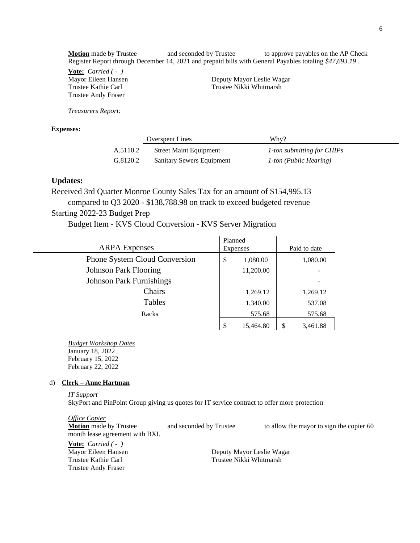**Motion** made by Trustee and seconded by Trustee to approve payables on the AP Check Register Report through December 14, 2021 and prepaid bills with General Payables totaling *\$47,693.19* .

**Vote:** *Carried ( - )* Trustee Andy Fraser

Mayor Eileen Hansen Deputy Mayor Leslie Wagar Trustee Kathie Carl Trustee Nikki Whitmarsh

*Treasurers Report:*

**Expenses:** 

|          | <b>Overspent Lines</b>           | Why?                          |
|----------|----------------------------------|-------------------------------|
| A.5110.2 | <b>Street Maint Equipment</b>    | 1-ton submitting for CHIPs    |
| G.8120.2 | <b>Sanitary Sewers Equipment</b> | <i>1-ton (Public Hearing)</i> |

# **Updates:**

Received 3rd Quarter Monroe County Sales Tax for an amount of \$154,995.13 compared to Q3 2020 - \$138,788.98 on track to exceed budgeted revenue

Starting 2022-23 Budget Prep

Budget Item - KVS Cloud Conversion - KVS Server Migration

|                                      | Planned         |                |
|--------------------------------------|-----------------|----------------|
| <b>ARPA</b> Expenses                 | Expenses        | Paid to date   |
| <b>Phone System Cloud Conversion</b> | \$<br>1,080.00  | 1,080.00       |
| <b>Johnson Park Flooring</b>         | 11,200.00       |                |
| <b>Johnson Park Furnishings</b>      |                 |                |
| Chairs                               | 1,269.12        | 1,269.12       |
| Tables                               | 1,340.00        | 537.08         |
| Racks                                | 575.68          | 575.68         |
|                                      | 15,464.80<br>\$ | \$<br>3.461.88 |

*Budget Workshop Dates* January 18, 2022 February 15, 2022 February 22, 2022

#### d) **Clerk – Anne Hartman**

*IT Support*

SkyPort and PinPoint Group giving us quotes for IT service contract to offer more protection

*Office Copier* **Motion** made by Trustee and seconded by Trustee to allow the mayor to sign the copier 60 month lease agreement with BXI.

**Vote:** *Carried ( - )* Trustee Andy Fraser

Mayor Eileen Hansen Deputy Mayor Leslie Wagar Trustee Kathie Carl Trustee Nikki Whitmarsh